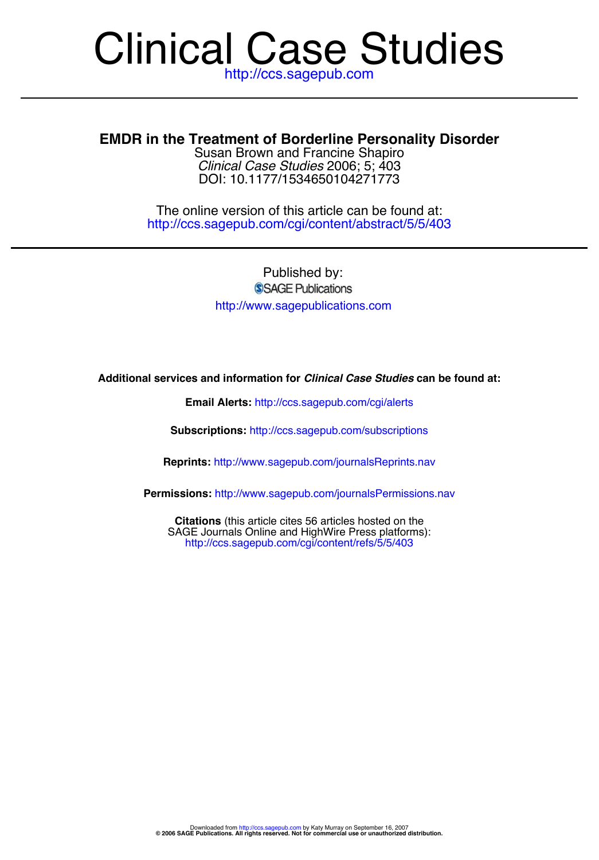# Clinical Case Studies http://ccs.sagepub.com

## **EMDR in the Treatment of Borderline Personality Disorder**

DOI: 10.1177/1534650104271773 *Clinical Case Studies* 2006; 5; 403 Susan Brown and Francine Shapiro

http://ccs.sagepub.com/cgi/content/abstract/5/5/403 The online version of this article can be found at:

> Published by: **SSAGE Publications** http://www.sagepublications.com

#### **Additional services and information for** *Clinical Case Studies* **can be found at:**

**Email Alerts:** <http://ccs.sagepub.com/cgi/alerts>

**Subscriptions:** <http://ccs.sagepub.com/subscriptions>

**Reprints:** <http://www.sagepub.com/journalsReprints.nav>

**Permissions:** <http://www.sagepub.com/journalsPermissions.nav>

<http://ccs.sagepub.com/cgi/content/refs/5/5/403> SAGE Journals Online and HighWire Press platforms): **Citations** (this article cites 56 articles hosted on the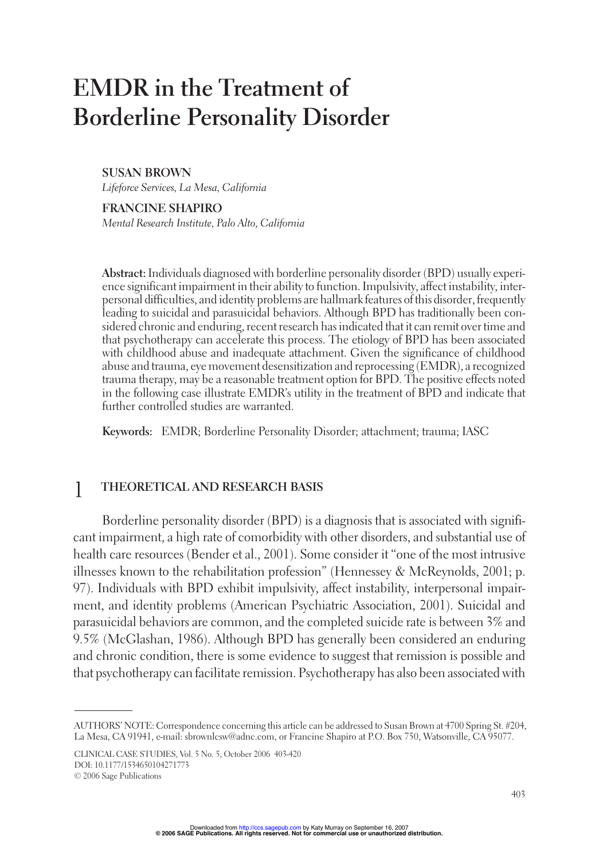## **EMDR in the Treatment of Borderline Personality Disorder**

**SUSAN BROWN** Lifeforce Services, La Mesa, California

**FRANCINE SHAPIRO** Mental Research Institute, Palo Alto, California

**Abstract:** Individuals diagnosed with borderline personality disorder (BPD) usually experience significant impairment in their ability to function. Impulsivity, affect instability, interpersonal difficulties, and identity problems are hallmark features of this disorder, frequently leading to suicidal and parasuicidal behaviors. Although BPD has traditionally been considered chronic and enduring, recent research has indicated that it can remit over time and that psychotherapy can accelerate this process. The etiology of BPD has been associated with childhood abuse and inadequate attachment. Given the significance of childhood abuse and trauma, eye movement desensitization and reprocessing (EMDR), a recognized trauma therapy, may be a reasonable treatment option for BPD. The positive effects noted in the following case illustrate EMDR's utility in the treatment of BPD and indicate that further controlled studies are warranted.

**Keywords:** EMDR; Borderline Personality Disorder; attachment; trauma; IASC

### 1 **THEORETICAL AND RESEARCH BASIS**

Borderline personality disorder (BPD) is a diagnosis that is associated with significant impairment, a high rate of comorbidity with other disorders, and substantial use of health care resources (Bender et al., 2001). Some consider it "one of the most intrusive illnesses known to the rehabilitation profession" (Hennessey & McReynolds, 2001; p. 97). Individuals with BPD exhibit impulsivity, affect instability, interpersonal impairment, and identity problems (American Psychiatric Association, 2001). Suicidal and parasuicidal behaviors are common, and the completed suicide rate is between 3% and 9.5% (McGlashan, 1986). Although BPD has generally been considered an enduring and chronic condition, there is some evidence to suggest that remission is possible and that psychotherapy can facilitate remission. Psychotherapy has also been associated with

CLINICAL CASE STUDIES, Vol. 5 No. 5, October 2006 403-420 DOI: 10.1177/1534650104271773

AUTHORS' NOTE: Correspondence concerning this article can be addressed to Susan Brown at 4700 Spring St. #204, La Mesa, CA 91941, e-mail: sbrownlcsw@adnc.com, or Francine Shapiro at P.O. Box 750, Watsonville, CA 95077.

<sup>© 2006</sup> Sage Publications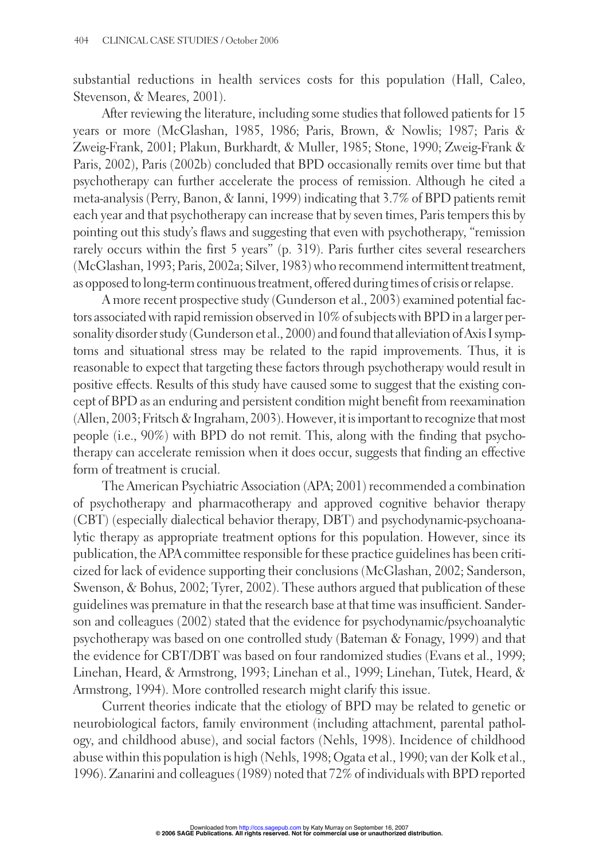substantial reductions in health services costs for this population (Hall, Caleo, Stevenson, & Meares, 2001).

After reviewing the literature, including some studies that followed patients for 15 years or more (McGlashan, 1985, 1986; Paris, Brown, & Nowlis; 1987; Paris & Zweig-Frank, 2001; Plakun, Burkhardt, & Muller, 1985; Stone, 1990; Zweig-Frank & Paris, 2002), Paris (2002b) concluded that BPD occasionally remits over time but that psychotherapy can further accelerate the process of remission. Although he cited a meta-analysis (Perry, Banon, & Ianni, 1999) indicating that 3.7% of BPD patients remit each year and that psychotherapy can increase that by seven times, Paris tempers this by pointing out this study's flaws and suggesting that even with psychotherapy, "remission rarely occurs within the first 5 years" (p. 319). Paris further cites several researchers (McGlashan, 1993; Paris, 2002a; Silver, 1983) who recommend intermittent treatment, as opposed to long-term continuous treatment, offered during times of crisis or relapse.

A more recent prospective study (Gunderson et al., 2003) examined potential factors associated with rapid remission observed in 10% of subjects with BPD in a larger personality disorder study (Gunderson et al., 2000) and found that alleviation of Axis I symptoms and situational stress may be related to the rapid improvements. Thus, it is reasonable to expect that targeting these factors through psychotherapy would result in positive effects. Results of this study have caused some to suggest that the existing concept of BPD as an enduring and persistent condition might benefit from reexamination (Allen, 2003; Fritsch & Ingraham, 2003). However, it is important to recognize that most people (i.e., 90%) with BPD do not remit. This, along with the finding that psychotherapy can accelerate remission when it does occur, suggests that finding an effective form of treatment is crucial.

The American Psychiatric Association (APA; 2001) recommended a combination of psychotherapy and pharmacotherapy and approved cognitive behavior therapy (CBT) (especially dialectical behavior therapy, DBT) and psychodynamic-psychoanalytic therapy as appropriate treatment options for this population. However, since its publication, the APA committee responsible for these practice guidelines has been criticized for lack of evidence supporting their conclusions (McGlashan, 2002; Sanderson, Swenson, & Bohus, 2002; Tyrer, 2002). These authors argued that publication of these guidelines was premature in that the research base at that time was insufficient. Sanderson and colleagues (2002) stated that the evidence for psychodynamic/psychoanalytic psychotherapy was based on one controlled study (Bateman & Fonagy, 1999) and that the evidence for CBT/DBT was based on four randomized studies (Evans et al., 1999; Linehan, Heard, & Armstrong, 1993; Linehan et al., 1999; Linehan, Tutek, Heard, & Armstrong, 1994). More controlled research might clarify this issue.

Current theories indicate that the etiology of BPD may be related to genetic or neurobiological factors, family environment (including attachment, parental pathology, and childhood abuse), and social factors (Nehls, 1998). Incidence of childhood abuse within this population is high (Nehls, 1998; Ogata et al., 1990; van der Kolk et al., 1996). Zanarini and colleagues (1989) noted that 72% of individuals with BPD reported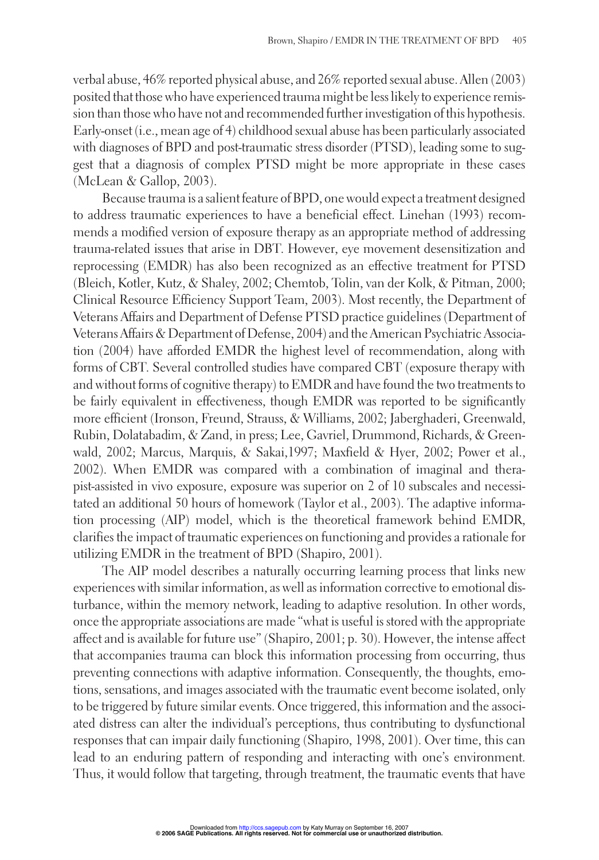verbal abuse, 46% reported physical abuse, and 26% reported sexual abuse. Allen (2003) posited that those who have experienced trauma might be less likely to experience remission than those who have not and recommended further investigation of this hypothesis. Early-onset (i.e., mean age of 4) childhood sexual abuse has been particularly associated with diagnoses of BPD and post-traumatic stress disorder (PTSD), leading some to suggest that a diagnosis of complex PTSD might be more appropriate in these cases (McLean & Gallop, 2003).

Because trauma is a salient feature of BPD, one would expect a treatment designed to address traumatic experiences to have a beneficial effect. Linehan (1993) recommends a modified version of exposure therapy as an appropriate method of addressing trauma-related issues that arise in DBT. However, eye movement desensitization and reprocessing (EMDR) has also been recognized as an effective treatment for PTSD (Bleich, Kotler, Kutz, & Shaley, 2002; Chemtob, Tolin, van der Kolk, & Pitman, 2000; Clinical Resource Efficiency Support Team, 2003). Most recently, the Department of Veterans Affairs and Department of Defense PTSD practice guidelines (Department of Veterans Affairs & Department of Defense, 2004) and the American Psychiatric Association (2004) have afforded EMDR the highest level of recommendation, along with forms of CBT. Several controlled studies have compared CBT (exposure therapy with and without forms of cognitive therapy) to EMDR and have found the two treatments to be fairly equivalent in effectiveness, though EMDR was reported to be significantly more efficient (Ironson, Freund, Strauss, & Williams, 2002; Jaberghaderi, Greenwald, Rubin, Dolatabadim, & Zand, in press; Lee, Gavriel, Drummond, Richards, & Greenwald, 2002; Marcus, Marquis, & Sakai,1997; Maxfield & Hyer, 2002; Power et al., 2002). When EMDR was compared with a combination of imaginal and therapist-assisted in vivo exposure, exposure was superior on 2 of 10 subscales and necessitated an additional 50 hours of homework (Taylor et al., 2003). The adaptive information processing (AIP) model, which is the theoretical framework behind EMDR, clarifies the impact of traumatic experiences on functioning and provides a rationale for utilizing EMDR in the treatment of BPD (Shapiro, 2001).

The AIP model describes a naturally occurring learning process that links new experiences with similar information, as well as information corrective to emotional disturbance, within the memory network, leading to adaptive resolution. In other words, once the appropriate associations are made "what is useful is stored with the appropriate affect and is available for future use" (Shapiro, 2001; p. 30). However, the intense affect that accompanies trauma can block this information processing from occurring, thus preventing connections with adaptive information. Consequently, the thoughts, emotions, sensations, and images associated with the traumatic event become isolated, only to be triggered by future similar events. Once triggered, this information and the associated distress can alter the individual's perceptions, thus contributing to dysfunctional responses that can impair daily functioning (Shapiro, 1998, 2001). Over time, this can lead to an enduring pattern of responding and interacting with one's environment. Thus, it would follow that targeting, through treatment, the traumatic events that have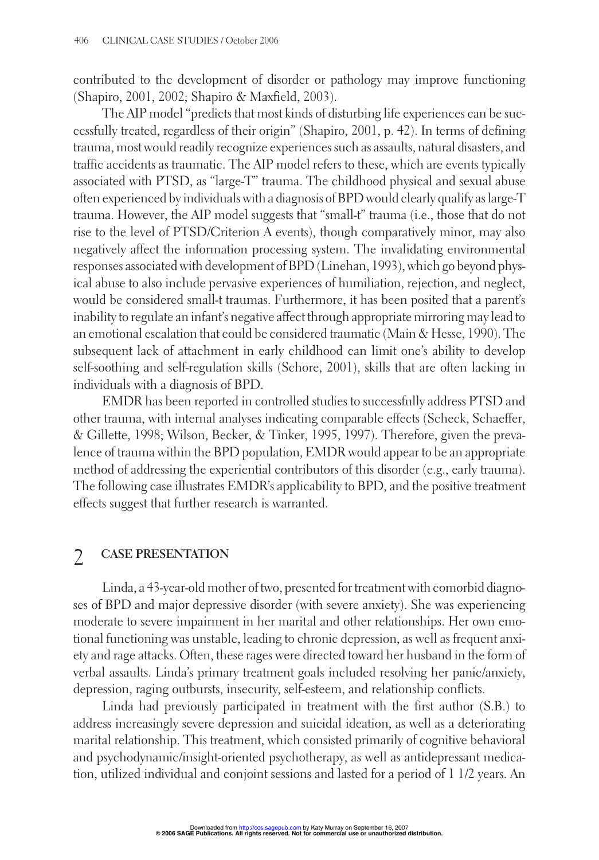contributed to the development of disorder or pathology may improve functioning (Shapiro, 2001, 2002; Shapiro & Maxfield, 2003).

The AIP model "predicts that most kinds of disturbing life experiences can be successfully treated, regardless of their origin" (Shapiro, 2001, p. 42). In terms of defining trauma, most would readily recognize experiences such as assaults, natural disasters, and traffic accidents as traumatic. The AIP model refers to these, which are events typically associated with PTSD, as "large-T" trauma. The childhood physical and sexual abuse often experienced by individuals with a diagnosis of BPD would clearly qualify as large-T trauma. However, the AIP model suggests that "small-t" trauma (i.e., those that do not rise to the level of PTSD/Criterion A events), though comparatively minor, may also negatively affect the information processing system. The invalidating environmental responses associated with development of BPD (Linehan, 1993), which go beyond physical abuse to also include pervasive experiences of humiliation, rejection, and neglect, would be considered small-t traumas. Furthermore, it has been posited that a parent's inability to regulate an infant's negative affect through appropriate mirroring may lead to an emotional escalation that could be considered traumatic (Main & Hesse, 1990). The subsequent lack of attachment in early childhood can limit one's ability to develop self-soothing and self-regulation skills (Schore, 2001), skills that are often lacking in individuals with a diagnosis of BPD.

EMDR has been reported in controlled studies to successfully address PTSD and other trauma, with internal analyses indicating comparable effects (Scheck, Schaeffer, & Gillette, 1998; Wilson, Becker, & Tinker, 1995, 1997). Therefore, given the prevalence of trauma within the BPD population, EMDR would appear to be an appropriate method of addressing the experiential contributors of this disorder (e.g., early trauma). The following case illustrates EMDR's applicability to BPD, and the positive treatment effects suggest that further research is warranted.

### 2 **CASE PRESENTATION**

Linda, a 43-year-old mother of two, presented for treatment with comorbid diagnoses of BPD and major depressive disorder (with severe anxiety). She was experiencing moderate to severe impairment in her marital and other relationships. Her own emotional functioning was unstable, leading to chronic depression, as well as frequent anxiety and rage attacks. Often, these rages were directed toward her husband in the form of verbal assaults. Linda's primary treatment goals included resolving her panic/anxiety, depression, raging outbursts, insecurity, self-esteem, and relationship conflicts.

Linda had previously participated in treatment with the first author (S.B.) to address increasingly severe depression and suicidal ideation, as well as a deteriorating marital relationship. This treatment, which consisted primarily of cognitive behavioral and psychodynamic/insight-oriented psychotherapy, as well as antidepressant medication, utilized individual and conjoint sessions and lasted for a period of 1 1/2 years. An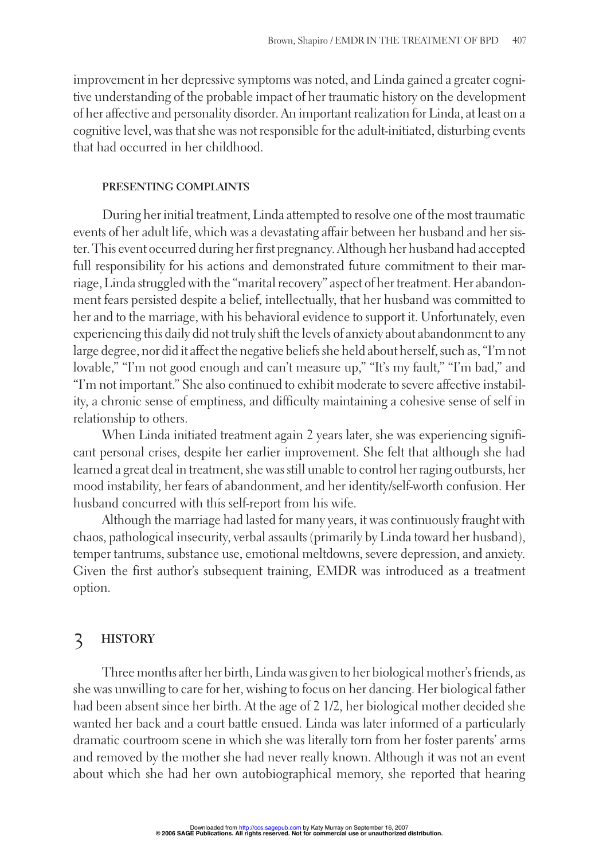improvement in her depressive symptoms was noted, and Linda gained a greater cognitive understanding of the probable impact of her traumatic history on the development of her affective and personality disorder. An important realization for Linda, at least on a cognitive level, was that she was not responsible for the adult-initiated, disturbing events that had occurred in her childhood.

#### **PRESENTING COMPLAINTS**

During her initial treatment, Linda attempted to resolve one of the most traumatic events of her adult life, which was a devastating affair between her husband and her sister. This event occurred during her first pregnancy. Although her husband had accepted full responsibility for his actions and demonstrated future commitment to their marriage, Linda struggled with the "marital recovery" aspect of her treatment. Her abandonment fears persisted despite a belief, intellectually, that her husband was committed to her and to the marriage, with his behavioral evidence to support it. Unfortunately, even experiencing this daily did not truly shift the levels of anxiety about abandonment to any large degree, nor did it affect the negative beliefs she held about herself, such as, "I'm not lovable," "I'm not good enough and can't measure up," "It's my fault," "I'm bad," and "I'm not important." She also continued to exhibit moderate to severe affective instability, a chronic sense of emptiness, and difficulty maintaining a cohesive sense of self in relationship to others.

When Linda initiated treatment again 2 years later, she was experiencing significant personal crises, despite her earlier improvement. She felt that although she had learned a great deal in treatment, she was still unable to control her raging outbursts, her mood instability, her fears of abandonment, and her identity/self-worth confusion. Her husband concurred with this self-report from his wife.

Although the marriage had lasted for many years, it was continuously fraught with chaos, pathological insecurity, verbal assaults (primarily by Linda toward her husband), temper tantrums, substance use, emotional meltdowns, severe depression, and anxiety. Given the first author's subsequent training, EMDR was introduced as a treatment option.

### 3 **HISTORY**

Three months after her birth, Linda was given to her biological mother's friends, as she was unwilling to care for her, wishing to focus on her dancing. Her biological father had been absent since her birth. At the age of 2 1/2, her biological mother decided she wanted her back and a court battle ensued. Linda was later informed of a particularly dramatic courtroom scene in which she was literally torn from her foster parents' arms and removed by the mother she had never really known. Although it was not an event about which she had her own autobiographical memory, she reported that hearing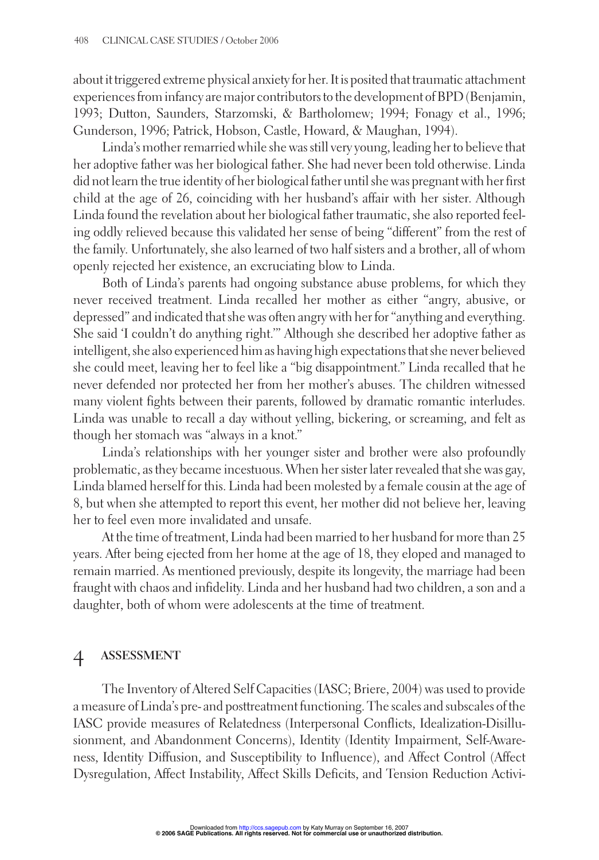about it triggered extreme physical anxiety for her. It is posited that traumatic attachment experiences from infancy are major contributors to the development of BPD (Benjamin, 1993; Dutton, Saunders, Starzomski, & Bartholomew; 1994; Fonagy et al., 1996; Gunderson, 1996; Patrick, Hobson, Castle, Howard, & Maughan, 1994).

Linda's mother remarried while she was still very young, leading her to believe that her adoptive father was her biological father. She had never been told otherwise. Linda did not learn the true identity of her biological father until she was pregnant with her first child at the age of 26, coinciding with her husband's affair with her sister. Although Linda found the revelation about her biological father traumatic, she also reported feeling oddly relieved because this validated her sense of being "different" from the rest of the family. Unfortunately, she also learned of two half sisters and a brother, all of whom openly rejected her existence, an excruciating blow to Linda.

Both of Linda's parents had ongoing substance abuse problems, for which they never received treatment. Linda recalled her mother as either "angry, abusive, or depressed" and indicated that she was often angry with her for "anything and everything. She said 'I couldn't do anything right.'" Although she described her adoptive father as intelligent, she also experienced him as having high expectations that she never believed she could meet, leaving her to feel like a "big disappointment." Linda recalled that he never defended nor protected her from her mother's abuses. The children witnessed many violent fights between their parents, followed by dramatic romantic interludes. Linda was unable to recall a day without yelling, bickering, or screaming, and felt as though her stomach was "always in a knot."

Linda's relationships with her younger sister and brother were also profoundly problematic, as they became incestuous. When her sister later revealed that she was gay, Linda blamed herself for this. Linda had been molested by a female cousin at the age of 8, but when she attempted to report this event, her mother did not believe her, leaving her to feel even more invalidated and unsafe.

At the time of treatment, Linda had been married to her husband for more than 25 years. After being ejected from her home at the age of 18, they eloped and managed to remain married. As mentioned previously, despite its longevity, the marriage had been fraught with chaos and infidelity. Linda and her husband had two children, a son and a daughter, both of whom were adolescents at the time of treatment.

### 4 **ASSESSMENT**

The Inventory of Altered Self Capacities (IASC; Briere, 2004) was used to provide a measure of Linda's pre- and posttreatment functioning. The scales and subscales of the IASC provide measures of Relatedness (Interpersonal Conflicts, Idealization-Disillusionment, and Abandonment Concerns), Identity (Identity Impairment, Self-Awareness, Identity Diffusion, and Susceptibility to Influence), and Affect Control (Affect Dysregulation, Affect Instability, Affect Skills Deficits, and Tension Reduction Activi-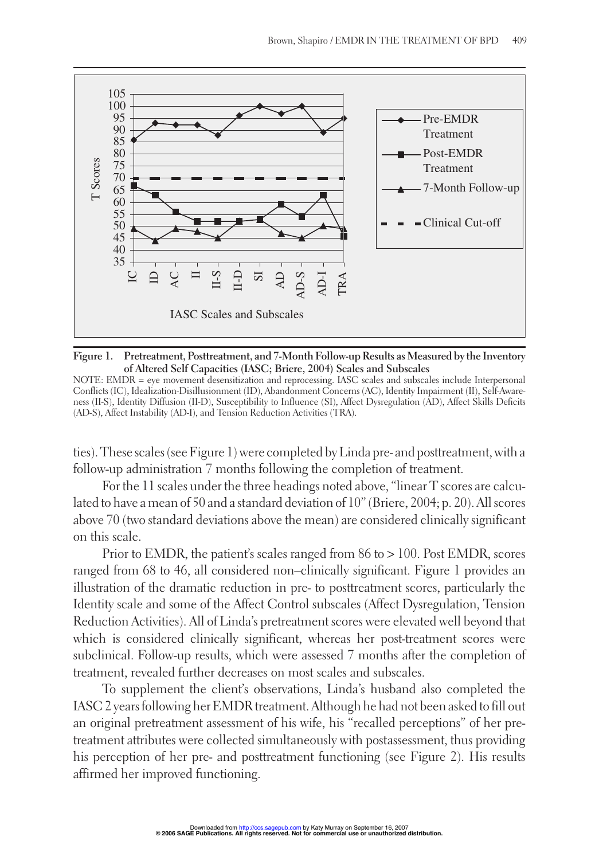

**Figure 1. Pretreatment, Posttreatment, and 7-Month Follow-up Results as Measured by the Inventory of Altered Self Capacities (IASC; Briere, 2004) Scales and Subscales**

NOTE: EMDR = eye movement desensitization and reprocessing. IASC scales and subscales include Interpersonal Conflicts (IC), Idealization-Disillusionment (ID), Abandonment Concerns (AC), Identity Impairment (II), Self-Awareness (II-S), Identity Diffusion (II-D), Susceptibility to Influence (SI), Affect Dysregulation (AD), Affect Skills Deficits (AD-S), Affect Instability (AD-I), and Tension Reduction Activities (TRA).

ties). These scales (see Figure 1) were completed by Linda pre- and posttreatment, with a follow-up administration 7 months following the completion of treatment.

For the 11 scales under the three headings noted above, "linear T scores are calculated to have a mean of 50 and a standard deviation of 10" (Briere, 2004; p. 20). All scores above 70 (two standard deviations above the mean) are considered clinically significant on this scale.

Prior to EMDR, the patient's scales ranged from 86 to > 100. Post EMDR, scores ranged from 68 to 46, all considered non–clinically significant. Figure 1 provides an illustration of the dramatic reduction in pre- to posttreatment scores, particularly the Identity scale and some of the Affect Control subscales (Affect Dysregulation, Tension Reduction Activities). All of Linda's pretreatment scores were elevated well beyond that which is considered clinically significant, whereas her post-treatment scores were subclinical. Follow-up results, which were assessed 7 months after the completion of treatment, revealed further decreases on most scales and subscales.

To supplement the client's observations, Linda's husband also completed the IASC 2 years following her EMDR treatment. Although he had not been asked to fill out an original pretreatment assessment of his wife, his "recalled perceptions" of her pretreatment attributes were collected simultaneously with postassessment, thus providing his perception of her pre- and posttreatment functioning (see Figure 2). His results affirmed her improved functioning.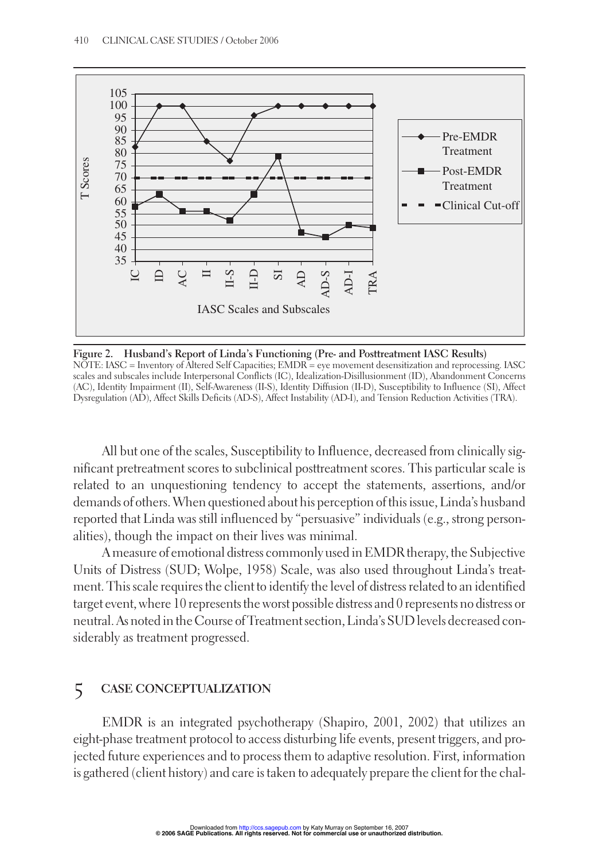

**Figure 2. Husband's Report of Linda's Functioning (Pre- and Posttreatment IASC Results)** NOTE: IASC = Inventory of Altered Self Capacities; EMDR = eye movement desensitization and reprocessing. IASC scales and subscales include Interpersonal Conflicts (IC), Idealization-Disillusionment (ID), Abandonment Concerns (AC), Identity Impairment (II), Self-Awareness (II-S), Identity Diffusion (II-D), Susceptibility to Influence (SI), Affect Dysregulation (AD), Affect Skills Deficits (AD-S), Affect Instability (AD-I), and Tension Reduction Activities (TRA).

All but one of the scales, Susceptibility to Influence, decreased from clinically significant pretreatment scores to subclinical posttreatment scores. This particular scale is related to an unquestioning tendency to accept the statements, assertions, and/or demands of others.When questioned about his perception of this issue, Linda's husband reported that Linda was still influenced by "persuasive" individuals (e.g., strong personalities), though the impact on their lives was minimal.

A measure of emotional distress commonly used in EMDR therapy, the Subjective Units of Distress (SUD; Wolpe, 1958) Scale, was also used throughout Linda's treatment. This scale requires the client to identify the level of distress related to an identified target event, where 10 represents the worst possible distress and 0 represents no distress or neutral. As noted in the Course of Treatment section, Linda's SUD levels decreased considerably as treatment progressed.

### 5 **CASE CONCEPTUALIZATION**

EMDR is an integrated psychotherapy (Shapiro, 2001, 2002) that utilizes an eight-phase treatment protocol to access disturbing life events, present triggers, and projected future experiences and to process them to adaptive resolution. First, information is gathered (client history) and care is taken to adequately prepare the client for the chal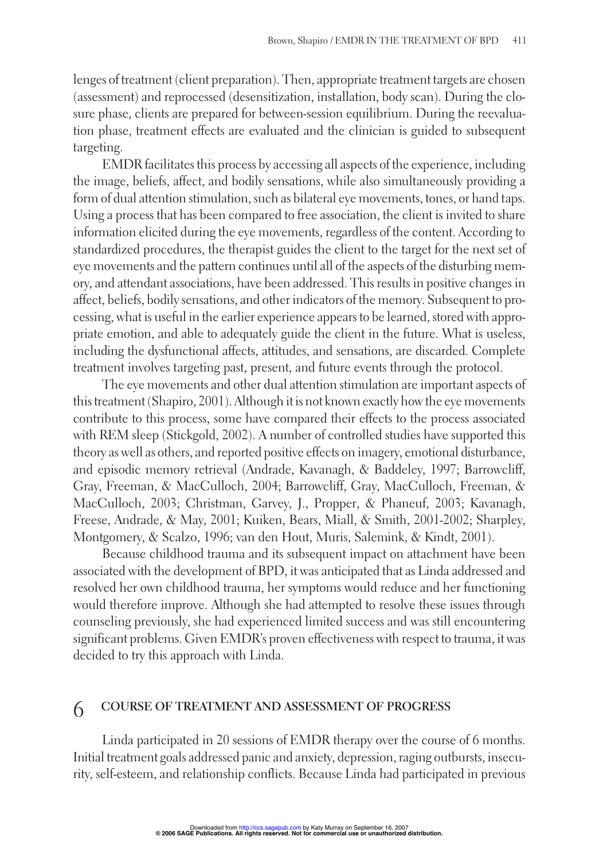lenges of treatment (client preparation). Then, appropriate treatment targets are chosen (assessment) and reprocessed (desensitization, installation, body scan). During the closure phase, clients are prepared for between-session equilibrium. During the reevaluation phase, treatment effects are evaluated and the clinician is guided to subsequent targeting.

EMDR facilitates this process by accessing all aspects of the experience, including the image, beliefs, affect, and bodily sensations, while also simultaneously providing a form of dual attention stimulation, such as bilateral eye movements, tones, or hand taps. Using a process that has been compared to free association, the client is invited to share information elicited during the eye movements, regardless of the content. According to standardized procedures, the therapist guides the client to the target for the next set of eye movements and the pattern continues until all of the aspects of the disturbing memory, and attendant associations, have been addressed. This results in positive changes in affect, beliefs, bodily sensations, and other indicators of the memory. Subsequent to processing, what is useful in the earlier experience appears to be learned, stored with appropriate emotion, and able to adequately guide the client in the future. What is useless, including the dysfunctional affects, attitudes, and sensations, are discarded. Complete treatment involves targeting past, present, and future events through the protocol.

The eye movements and other dual attention stimulation are important aspects of this treatment (Shapiro, 2001). Although it is not known exactly how the eye movements contribute to this process, some have compared their effects to the process associated with REM sleep (Stickgold, 2002). A number of controlled studies have supported this theory as well as others, and reported positive effects on imagery, emotional disturbance, and episodic memory retrieval (Andrade, Kavanagh, & Baddeley, 1997; Barrowcliff, Gray, Freeman, & MacCulloch, 2004; Barrowcliff, Gray, MacCulloch, Freeman, & MacCulloch, 2003; Christman, Garvey, J., Propper, & Phaneuf, 2003; Kavanagh, Freese, Andrade, & May, 2001; Kuiken, Bears, Miall, & Smith, 2001-2002; Sharpley, Montgomery, & Scalzo, 1996; van den Hout, Muris, Salemink, & Kindt, 2001).

Because childhood trauma and its subsequent impact on attachment have been associated with the development of BPD, it was anticipated that as Linda addressed and resolved her own childhood trauma, her symptoms would reduce and her functioning would therefore improve. Although she had attempted to resolve these issues through counseling previously, she had experienced limited success and was still encountering significant problems. Given EMDR's proven effectiveness with respect to trauma, it was decided to try this approach with Linda.

## 6 **COURSE OF TREATMENT AND ASSESSMENT OF PROGRESS**

Linda participated in 20 sessions of EMDR therapy over the course of 6 months. Initial treatment goals addressed panic and anxiety, depression, raging outbursts, insecurity, self-esteem, and relationship conflicts. Because Linda had participated in previous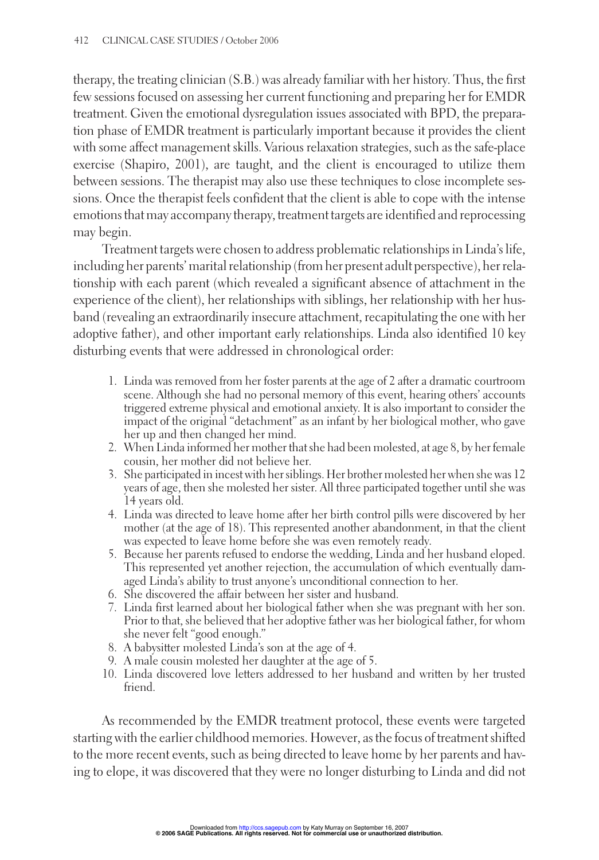therapy, the treating clinician (S.B.) was already familiar with her history. Thus, the first few sessions focused on assessing her current functioning and preparing her for EMDR treatment. Given the emotional dysregulation issues associated with BPD, the preparation phase of EMDR treatment is particularly important because it provides the client with some affect management skills. Various relaxation strategies, such as the safe-place exercise (Shapiro, 2001), are taught, and the client is encouraged to utilize them between sessions. The therapist may also use these techniques to close incomplete sessions. Once the therapist feels confident that the client is able to cope with the intense emotions that may accompany therapy, treatment targets are identified and reprocessing may begin.

Treatment targets were chosen to address problematic relationships in Linda's life, including her parents' marital relationship (from her present adult perspective), her relationship with each parent (which revealed a significant absence of attachment in the experience of the client), her relationships with siblings, her relationship with her husband (revealing an extraordinarily insecure attachment, recapitulating the one with her adoptive father), and other important early relationships. Linda also identified 10 key disturbing events that were addressed in chronological order:

- 1. Linda was removed from her foster parents at the age of 2 after a dramatic courtroom scene. Although she had no personal memory of this event, hearing others' accounts triggered extreme physical and emotional anxiety. It is also important to consider the impact of the original "detachment" as an infant by her biological mother, who gave her up and then changed her mind.
- 2. When Linda informed her mother that she had been molested, at age 8, by her female cousin, her mother did not believe her.
- 3. She participated in incest with her siblings. Her brother molested her when she was 12 years of age, then she molested her sister. All three participated together until she was 14 years old.
- 4. Linda was directed to leave home after her birth control pills were discovered by her mother (at the age of 18). This represented another abandonment, in that the client was expected to leave home before she was even remotely ready.
- 5. Because her parents refused to endorse the wedding, Linda and her husband eloped. This represented yet another rejection, the accumulation of which eventually damaged Linda's ability to trust anyone's unconditional connection to her.
- 6. She discovered the affair between her sister and husband.
- 7. Linda first learned about her biological father when she was pregnant with her son. Prior to that, she believed that her adoptive father was her biological father, for whom she never felt "good enough."
- 8. A babysitter molested Linda's son at the age of 4.
- 9. A male cousin molested her daughter at the age of 5.
- 10. Linda discovered love letters addressed to her husband and written by her trusted friend.

As recommended by the EMDR treatment protocol, these events were targeted starting with the earlier childhood memories. However, as the focus of treatment shifted to the more recent events, such as being directed to leave home by her parents and having to elope, it was discovered that they were no longer disturbing to Linda and did not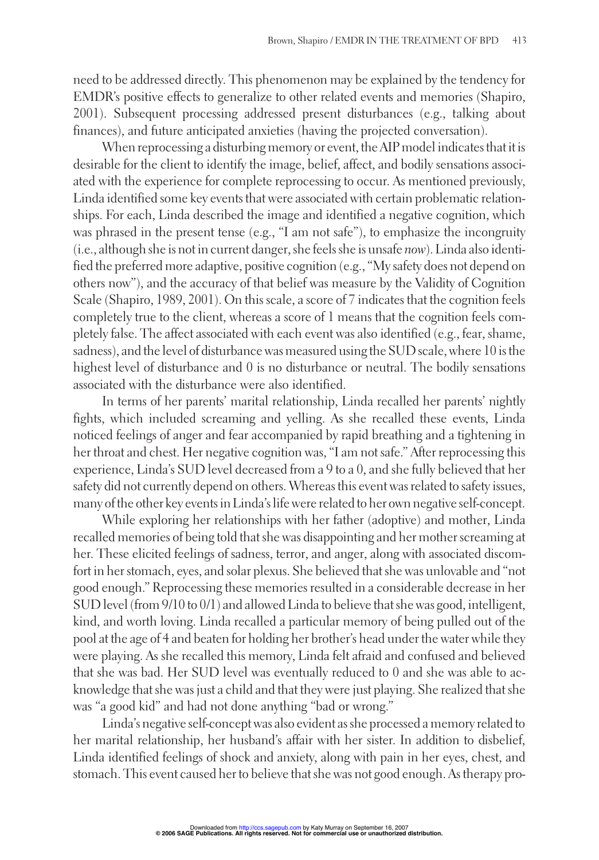need to be addressed directly. This phenomenon may be explained by the tendency for EMDR's positive effects to generalize to other related events and memories (Shapiro, 2001). Subsequent processing addressed present disturbances (e.g., talking about finances), and future anticipated anxieties (having the projected conversation).

When reprocessing a disturbing memory or event, the AIP model indicates that it is desirable for the client to identify the image, belief, affect, and bodily sensations associated with the experience for complete reprocessing to occur. As mentioned previously, Linda identified some key events that were associated with certain problematic relationships. For each, Linda described the image and identified a negative cognition, which was phrased in the present tense (e.g., "I am not safe"), to emphasize the incongruity (i.e., although she is not in current danger, she feels she is unsafe now). Linda also identified the preferred more adaptive, positive cognition (e.g., "My safety does not depend on others now"), and the accuracy of that belief was measure by the Validity of Cognition Scale (Shapiro, 1989, 2001). On this scale, a score of 7 indicates that the cognition feels completely true to the client, whereas a score of 1 means that the cognition feels completely false. The affect associated with each event was also identified (e.g., fear, shame, sadness), and the level of disturbance was measured using the SUD scale, where 10 is the highest level of disturbance and 0 is no disturbance or neutral. The bodily sensations associated with the disturbance were also identified.

In terms of her parents' marital relationship, Linda recalled her parents' nightly fights, which included screaming and yelling. As she recalled these events, Linda noticed feelings of anger and fear accompanied by rapid breathing and a tightening in her throat and chest. Her negative cognition was, "I am not safe." After reprocessing this experience, Linda's SUD level decreased from a 9 to a 0, and she fully believed that her safety did not currently depend on others. Whereas this event was related to safety issues, many of the other key events in Linda's life were related to her own negative self-concept.

While exploring her relationships with her father (adoptive) and mother, Linda recalled memories of being told that she was disappointing and her mother screaming at her. These elicited feelings of sadness, terror, and anger, along with associated discomfort in her stomach, eyes, and solar plexus. She believed that she was unlovable and "not good enough." Reprocessing these memories resulted in a considerable decrease in her SUD level (from 9/10 to 0/1) and allowed Linda to believe that she was good, intelligent, kind, and worth loving. Linda recalled a particular memory of being pulled out of the pool at the age of 4 and beaten for holding her brother's head under the water while they were playing. As she recalled this memory, Linda felt afraid and confused and believed that she was bad. Her SUD level was eventually reduced to 0 and she was able to acknowledge that she was just a child and that they were just playing. She realized that she was "a good kid" and had not done anything "bad or wrong."

Linda's negative self-concept was also evident as she processed a memory related to her marital relationship, her husband's affair with her sister. In addition to disbelief, Linda identified feelings of shock and anxiety, along with pain in her eyes, chest, and stomach. This event caused her to believe that she was not good enough. As therapy pro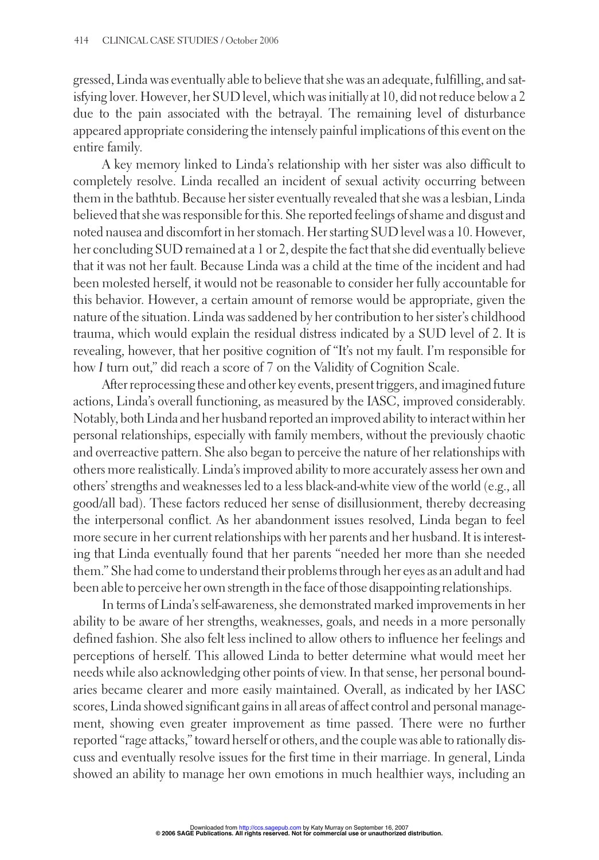gressed, Linda was eventually able to believe that she was an adequate, fulfilling, and satisfying lover. However, her SUD level, which was initially at 10, did not reduce below a 2 due to the pain associated with the betrayal. The remaining level of disturbance appeared appropriate considering the intensely painful implications of this event on the entire family.

A key memory linked to Linda's relationship with her sister was also difficult to completely resolve. Linda recalled an incident of sexual activity occurring between them in the bathtub. Because her sister eventually revealed that she was a lesbian, Linda believed that she was responsible for this. She reported feelings of shame and disgust and noted nausea and discomfort in her stomach. Her starting SUD level was a 10. However, her concluding SUD remained at a 1 or 2, despite the fact that she did eventually believe that it was not her fault. Because Linda was a child at the time of the incident and had been molested herself, it would not be reasonable to consider her fully accountable for this behavior. However, a certain amount of remorse would be appropriate, given the nature of the situation. Linda was saddened by her contribution to her sister's childhood trauma, which would explain the residual distress indicated by a SUD level of 2. It is revealing, however, that her positive cognition of "It's not my fault. I'm responsible for how I turn out," did reach a score of 7 on the Validity of Cognition Scale.

After reprocessing these and other key events, present triggers, and imagined future actions, Linda's overall functioning, as measured by the IASC, improved considerably. Notably, both Linda and her husband reported an improved ability to interact within her personal relationships, especially with family members, without the previously chaotic and overreactive pattern. She also began to perceive the nature of her relationships with others more realistically. Linda's improved ability to more accurately assess her own and others' strengths and weaknesses led to a less black-and-white view of the world (e.g., all good/all bad). These factors reduced her sense of disillusionment, thereby decreasing the interpersonal conflict. As her abandonment issues resolved, Linda began to feel more secure in her current relationships with her parents and her husband. It is interesting that Linda eventually found that her parents "needed her more than she needed them." She had come to understand their problems through her eyes as an adult and had been able to perceive her own strength in the face of those disappointing relationships.

In terms of Linda's self-awareness, she demonstrated marked improvements in her ability to be aware of her strengths, weaknesses, goals, and needs in a more personally defined fashion. She also felt less inclined to allow others to influence her feelings and perceptions of herself. This allowed Linda to better determine what would meet her needs while also acknowledging other points of view. In that sense, her personal boundaries became clearer and more easily maintained. Overall, as indicated by her IASC scores, Linda showed significant gains in all areas of affect control and personal management, showing even greater improvement as time passed. There were no further reported "rage attacks," toward herself or others, and the couple was able to rationally discuss and eventually resolve issues for the first time in their marriage. In general, Linda showed an ability to manage her own emotions in much healthier ways, including an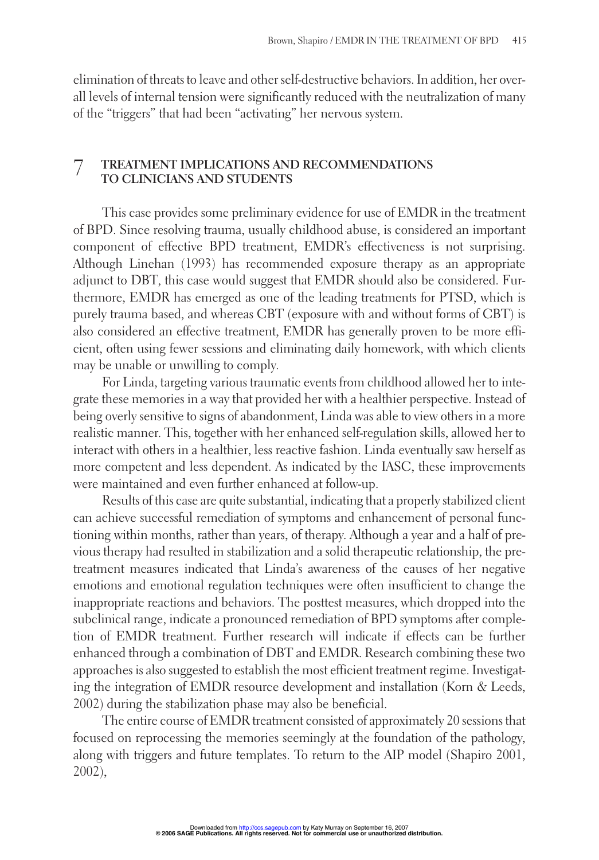elimination of threats to leave and other self-destructive behaviors. In addition, her overall levels of internal tension were significantly reduced with the neutralization of many of the "triggers" that had been "activating" her nervous system.

#### 7 **TREATMENT IMPLICATIONS AND RECOMMENDATIONS TO CLINICIANS AND STUDENTS**

This case provides some preliminary evidence for use of EMDR in the treatment of BPD. Since resolving trauma, usually childhood abuse, is considered an important component of effective BPD treatment, EMDR's effectiveness is not surprising. Although Linehan (1993) has recommended exposure therapy as an appropriate adjunct to DBT, this case would suggest that EMDR should also be considered. Furthermore, EMDR has emerged as one of the leading treatments for PTSD, which is purely trauma based, and whereas CBT (exposure with and without forms of CBT) is also considered an effective treatment, EMDR has generally proven to be more efficient, often using fewer sessions and eliminating daily homework, with which clients may be unable or unwilling to comply.

For Linda, targeting various traumatic events from childhood allowed her to integrate these memories in a way that provided her with a healthier perspective. Instead of being overly sensitive to signs of abandonment, Linda was able to view others in a more realistic manner. This, together with her enhanced self-regulation skills, allowed her to interact with others in a healthier, less reactive fashion. Linda eventually saw herself as more competent and less dependent. As indicated by the IASC, these improvements were maintained and even further enhanced at follow-up.

Results of this case are quite substantial, indicating that a properly stabilized client can achieve successful remediation of symptoms and enhancement of personal functioning within months, rather than years, of therapy. Although a year and a half of previous therapy had resulted in stabilization and a solid therapeutic relationship, the pretreatment measures indicated that Linda's awareness of the causes of her negative emotions and emotional regulation techniques were often insufficient to change the inappropriate reactions and behaviors. The posttest measures, which dropped into the subclinical range, indicate a pronounced remediation of BPD symptoms after completion of EMDR treatment. Further research will indicate if effects can be further enhanced through a combination of DBT and EMDR. Research combining these two approaches is also suggested to establish the most efficient treatment regime. Investigating the integration of EMDR resource development and installation (Korn & Leeds, 2002) during the stabilization phase may also be beneficial.

The entire course of EMDR treatment consisted of approximately 20 sessions that focused on reprocessing the memories seemingly at the foundation of the pathology, along with triggers and future templates. To return to the AIP model (Shapiro 2001, 2002),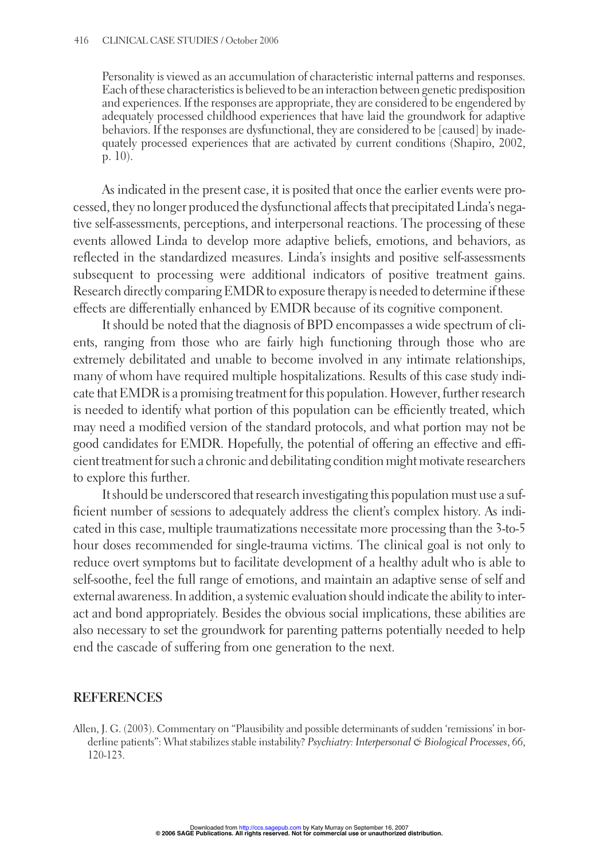Personality is viewed as an accumulation of characteristic internal patterns and responses. Each of these characteristics is believed to be an interaction between genetic predisposition and experiences. If the responses are appropriate, they are considered to be engendered by adequately processed childhood experiences that have laid the groundwork for adaptive behaviors. If the responses are dysfunctional, they are considered to be [caused] by inadequately processed experiences that are activated by current conditions (Shapiro, 2002, p. 10).

As indicated in the present case, it is posited that once the earlier events were processed, they no longer produced the dysfunctional affects that precipitated Linda's negative self-assessments, perceptions, and interpersonal reactions. The processing of these events allowed Linda to develop more adaptive beliefs, emotions, and behaviors, as reflected in the standardized measures. Linda's insights and positive self-assessments subsequent to processing were additional indicators of positive treatment gains. Research directly comparing EMDR to exposure therapy is needed to determine if these effects are differentially enhanced by EMDR because of its cognitive component.

It should be noted that the diagnosis of BPD encompasses a wide spectrum of clients, ranging from those who are fairly high functioning through those who are extremely debilitated and unable to become involved in any intimate relationships, many of whom have required multiple hospitalizations. Results of this case study indicate that EMDR is a promising treatment for this population. However, further research is needed to identify what portion of this population can be efficiently treated, which may need a modified version of the standard protocols, and what portion may not be good candidates for EMDR. Hopefully, the potential of offering an effective and efficient treatment for such a chronic and debilitating condition might motivate researchers to explore this further.

It should be underscored that research investigating this population must use a sufficient number of sessions to adequately address the client's complex history. As indicated in this case, multiple traumatizations necessitate more processing than the 3-to-5 hour doses recommended for single-trauma victims. The clinical goal is not only to reduce overt symptoms but to facilitate development of a healthy adult who is able to self-soothe, feel the full range of emotions, and maintain an adaptive sense of self and external awareness. In addition, a systemic evaluation should indicate the ability to interact and bond appropriately. Besides the obvious social implications, these abilities are also necessary to set the groundwork for parenting patterns potentially needed to help end the cascade of suffering from one generation to the next.

#### **REFERENCES**

Allen, J. G. (2003). Commentary on "Plausibility and possible determinants of sudden 'remissions' in borderline patients": What stabilizes stable instability? Psychiatry: Interpersonal & Biological Processes, 66, 120-123.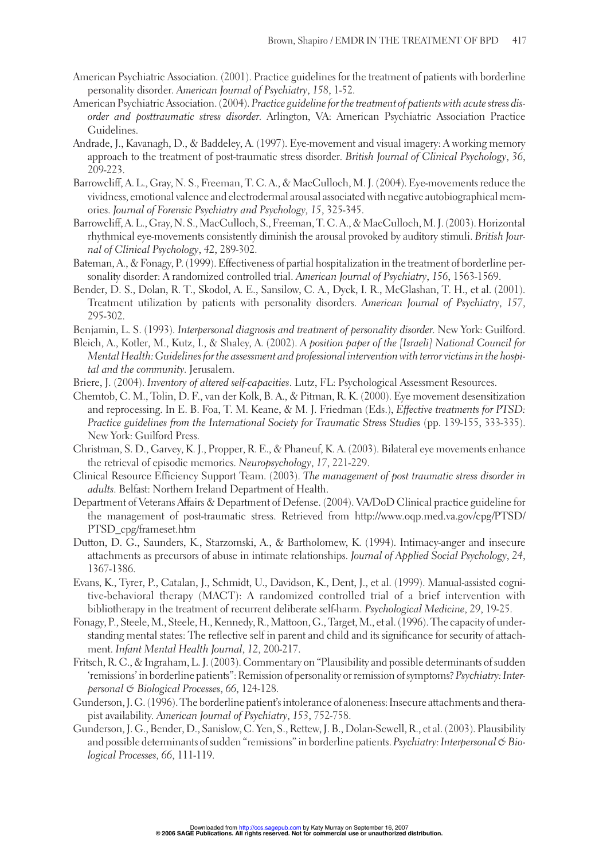- American Psychiatric Association. (2001). Practice guidelines for the treatment of patients with borderline personality disorder. American Journal of Psychiatry, 158, 1-52.
- American Psychiatric Association. (2004). Practice guideline for the treatment of patients with acute stress disorder and posttraumatic stress disorder. Arlington, VA: American Psychiatric Association Practice Guidelines.
- Andrade, J., Kavanagh, D., & Baddeley, A. (1997). Eye-movement and visual imagery: A working memory approach to the treatment of post-traumatic stress disorder. British Journal of Clinical Psychology, 36, 209-223.
- Barrowcliff, A. L., Gray, N. S., Freeman, T. C. A., & MacCulloch, M. J. (2004). Eye-movements reduce the vividness, emotional valence and electrodermal arousal associated with negative autobiographical memories. Journal of Forensic Psychiatry and Psychology, 15, 325-345.
- Barrowcliff, A. L., Gray, N. S., MacCulloch, S., Freeman, T. C. A., & MacCulloch, M. J. (2003). Horizontal rhythmical eye-movements consistently diminish the arousal provoked by auditory stimuli. British Journal of Clinical Psychology, 42, 289-302.
- Bateman, A., & Fonagy, P. (1999). Effectiveness of partial hospitalization in the treatment of borderline personality disorder: A randomized controlled trial. American Journal of Psychiatry, 156, 1563-1569.
- Bender, D. S., Dolan, R. T., Skodol, A. E., Sansilow, C. A., Dyck, I. R., McGlashan, T. H., et al. (2001). Treatment utilization by patients with personality disorders. American Journal of Psychiatry, 157, 295-302.
- Benjamin, L. S. (1993). Interpersonal diagnosis and treatment of personality disorder. New York: Guilford.
- Bleich, A., Kotler, M., Kutz, I., & Shaley, A. (2002). A position paper of the [Israeli] National Council for Mental Health: Guidelines forthe assessment and professional intervention with terror victims in the hospital and the community. Jerusalem.
- Briere, J. (2004). Inventory of altered self-capacities. Lutz, FL: Psychological Assessment Resources.
- Chemtob, C. M., Tolin, D. F., van der Kolk, B. A., & Pitman, R. K. (2000). Eye movement desensitization and reprocessing. In E. B. Foa, T. M. Keane, & M. J. Friedman (Eds.), Effective treatments for PTSD: Practice guidelines from the International Society for Traumatic Stress Studies (pp. 139-155, 333-335). New York: Guilford Press.
- Christman, S. D., Garvey, K. J., Propper, R. E., & Phaneuf, K. A. (2003). Bilateral eye movements enhance the retrieval of episodic memories. Neuropsychology, 17, 221-229.
- Clinical Resource Efficiency Support Team. (2003). The management of post traumatic stress disorder in adults. Belfast: Northern Ireland Department of Health.
- Department of Veterans Affairs & Department of Defense. (2004). VA/DoD Clinical practice guideline for the management of post-traumatic stress. Retrieved from http://www.oqp.med.va.gov/cpg/PTSD/ PTSD\_cpg/frameset.htm
- Dutton, D. G., Saunders, K., Starzomski, A., & Bartholomew, K. (1994). Intimacy-anger and insecure attachments as precursors of abuse in intimate relationships. Journal of Applied Social Psychology, 24, 1367-1386.
- Evans, K., Tyrer, P., Catalan, J., Schmidt, U., Davidson, K., Dent, J., et al. (1999). Manual-assisted cognitive-behavioral therapy (MACT): A randomized controlled trial of a brief intervention with bibliotherapy in the treatment of recurrent deliberate self-harm. Psychological Medicine, 29, 19-25.
- Fonagy, P., Steele,M., Steele, H., Kennedy, R.,Mattoon, G., Target,M., et al. (1996). The capacity of understanding mental states: The reflective self in parent and child and its significance for security of attachment. Infant Mental Health Journal, 12, 200-217.
- Fritsch, R. C., & Ingraham, L. J. (2003). Commentary on "Plausibility and possible determinants of sudden 'remissions' in borderline patients": Remission of personality or remission of symptoms? Psychiatry: Interpersonal & Biological Processes, 66, 124-128.
- Gunderson, J. G. (1996). The borderline patient's intolerance of aloneness: Insecure attachments and therapist availability. American Journal of Psychiatry, 153, 752-758.
- Gunderson, J. G., Bender, D., Sanislow, C. Yen, S., Rettew, J. B., Dolan-Sewell, R., et al. (2003). Plausibility and possible determinants of sudden "remissions" in borderline patients. Psychiatry: Interpersonal  $\mathfrak{S}$  Biological Processes, 66, 111-119.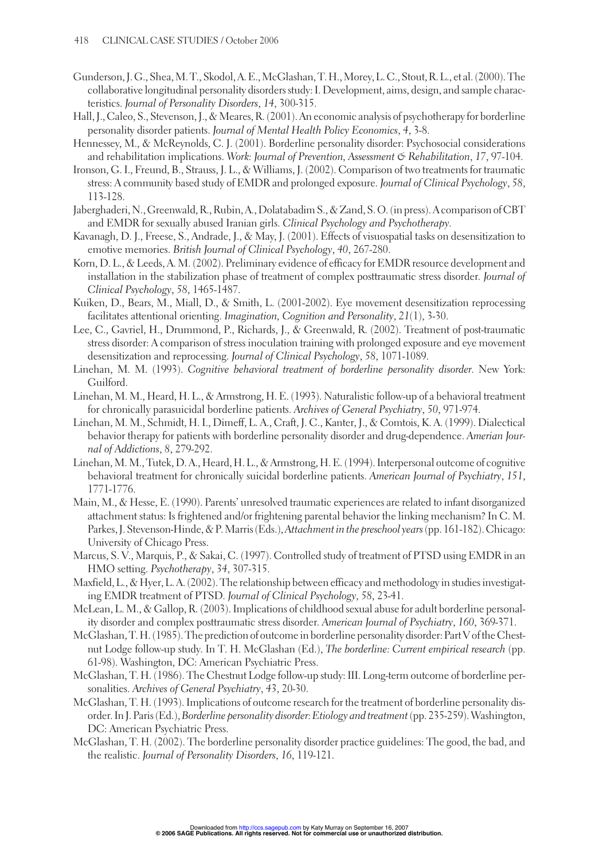- Gunderson, J. G., Shea, M. T., Skodol, A. E., McGlashan, T. H., Morey, L. C., Stout, R. L., et al. (2000). The collaborative longitudinal personality disorders study: I. Development, aims, design, and sample characteristics. Journal of Personality Disorders, 14, 300-315.
- Hall, J., Caleo, S., Stevenson, J., & Meares, R. (2001). An economic analysis of psychotherapy for borderline personality disorder patients. Journal of Mental Health Policy Economics, 4, 3-8.
- Hennessey, M., & McReynolds, C. J. (2001). Borderline personality disorder: Psychosocial considerations and rehabilitation implications. Work: Journal of Prevention, Assessment & Rehabilitation, 17, 97-104.
- Ironson, G. I., Freund, B., Strauss, J. L., & Williams, J. (2002). Comparison of two treatments for traumatic stress: A community based study of EMDR and prolonged exposure. Journal of Clinical Psychology, 58, 113-128.
- Jaberghaderi, N., Greenwald, R., Rubin, A., Dolatabadim S., & Zand, S. O. (in press). A comparison of CBT and EMDR for sexually abused Iranian girls. Clinical Psychology and Psychotherapy.
- Kavanagh, D. J., Freese, S., Andrade, J., & May, J. (2001). Effects of visuospatial tasks on desensitization to emotive memories. British Journal of Clinical Psychology, 40, 267-280.
- Korn, D. L., & Leeds, A. M. (2002). Preliminary evidence of efficacy for EMDR resource development and installation in the stabilization phase of treatment of complex posttraumatic stress disorder. Journal of Clinical Psychology, 58, 1465-1487.
- Kuiken, D., Bears, M., Miall, D., & Smith, L. (2001-2002). Eye movement desensitization reprocessing facilitates attentional orienting. Imagination, Cognition and Personality, 21(1), 3-30.
- Lee, C., Gavriel, H., Drummond, P., Richards, J., & Greenwald, R. (2002). Treatment of post-traumatic stress disorder: A comparison of stress inoculation training with prolonged exposure and eye movement desensitization and reprocessing. Journal of Clinical Psychology, 58, 1071-1089.
- Linehan, M. M. (1993). Cognitive behavioral treatment of borderline personality disorder. New York: Guilford.
- Linehan, M. M., Heard, H. L., & Armstrong, H. E. (1993). Naturalistic follow-up of a behavioral treatment for chronically parasuicidal borderline patients. Archives of General Psychiatry, 50, 971-974.
- Linehan, M. M., Schmidt, H. I., Dimeff, L. A., Craft, J. C., Kanter, J., & Comtois, K. A. (1999). Dialectical behavior therapy for patients with borderline personality disorder and drug-dependence. Amerian Journal of Addictions, 8, 279-292.
- Linehan,M.M., Tutek, D. A., Heard, H. L., & Armstrong, H. E. (1994). Interpersonal outcome of cognitive behavioral treatment for chronically suicidal borderline patients. American Journal of Psychiatry, 151, 1771-1776.
- Main, M., & Hesse, E. (1990). Parents' unresolved traumatic experiences are related to infant disorganized attachment status: Is frightened and/or frightening parental behavior the linking mechanism? In C. M. Parkes, J. Stevenson-Hinde, & P. Marris (Eds.), Attachment in the preschool years (pp. 161-182). Chicago: University of Chicago Press.
- Marcus, S. V., Marquis, P., & Sakai, C. (1997). Controlled study of treatment of PTSD using EMDR in an HMO setting. Psychotherapy, 34, 307-315.
- Maxfield, L., & Hyer, L. A. (2002). The relationship between efficacy and methodology in studies investigating EMDR treatment of PTSD. Journal of Clinical Psychology, 58, 23-41.
- McLean, L. M., & Gallop, R. (2003). Implications of childhood sexual abuse for adult borderline personality disorder and complex posttraumatic stress disorder. American Journal of Psychiatry, 160, 369-371.
- McGlashan, T. H. (1985). The prediction of outcomein borderline personality disorder: Part V of the Chestnut Lodge follow-up study. In T. H. McGlashan (Ed.), *The borderline: Current empirical research* (pp. 61-98). Washington, DC: American Psychiatric Press.
- McGlashan, T. H. (1986). The Chestnut Lodge follow-up study: III. Long-term outcome of borderline personalities. Archives of General Psychiatry, 43, 20-30.
- McGlashan, T. H. (1993). Implications of outcome research for the treatment of borderline personality disorder. In J. Paris (Ed.), Borderline personality disorder: Etiology and treatment (pp. 235-259). Washington, DC: American Psychiatric Press.
- McGlashan, T. H. (2002). The borderline personality disorder practice guidelines: The good, the bad, and the realistic. Journal of Personality Disorders, 16, 119-121.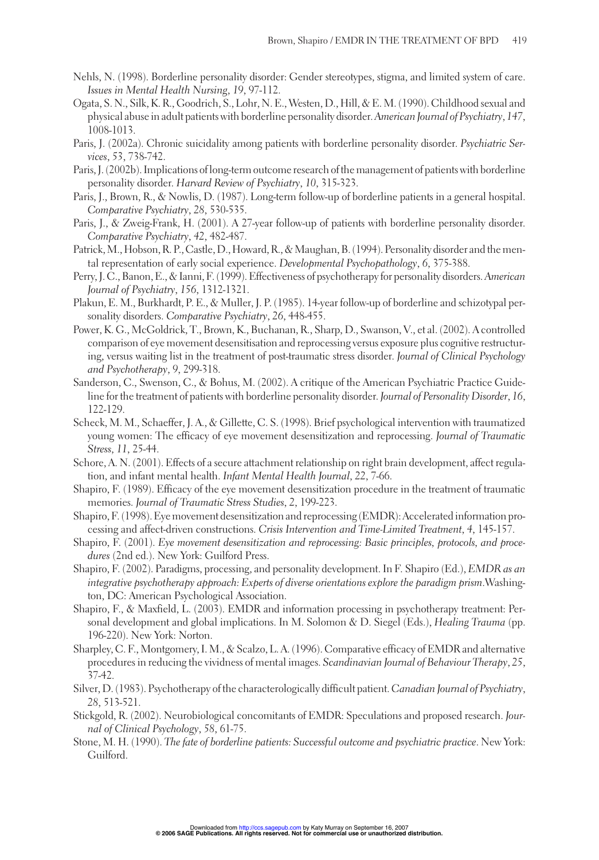- Nehls, N. (1998). Borderline personality disorder: Gender stereotypes, stigma, and limited system of care. Issues in Mental Health Nursing, 19, 97-112.
- Ogata, S. N., Silk, K. R., Goodrich, S., Lohr, N. E.,Westen, D., Hill, & E. M. (1990). Childhood sexual and physical abuse in adult patients with borderline personality disorder. American Journal of Psychiatry, 147, 1008-1013.
- Paris, J. (2002a). Chronic suicidality among patients with borderline personality disorder. Psychiatric Services, 53, 738-742.
- Paris, J. (2002b). Implications of long-term outcome research of the management of patients with borderline personality disorder. Harvard Review of Psychiatry, 10, 315-323.
- Paris, J., Brown, R., & Nowlis, D. (1987). Long-term follow-up of borderline patients in a general hospital. Comparative Psychiatry, 28, 530-535.
- Paris, J., & Zweig-Frank, H. (2001). A 27-year follow-up of patients with borderline personality disorder. Comparative Psychiatry, 42, 482-487.
- Patrick, M., Hobson, R. P., Castle, D., Howard, R., & Maughan, B. (1994). Personality disorder and the mental representation of early social experience. Developmental Psychopathology, 6, 375-388.
- Perry, J. C., Banon, E., & Ianni, F. (1999). Effectiveness of psychotherapy for personality disorders.American Journal of Psychiatry, 156, 1312-1321.
- Plakun, E. M., Burkhardt, P. E., & Muller, J. P. (1985). 14-year follow-up of borderline and schizotypal personality disorders. Comparative Psychiatry, 26, 448-455.
- Power, K. G., McGoldrick, T., Brown, K., Buchanan, R., Sharp, D., Swanson, V., et al. (2002). A controlled comparison of eye movement desensitisation and reprocessing versus exposure plus cognitive restructuring, versus waiting list in the treatment of post-traumatic stress disorder. Journal of Clinical Psychology and Psychotherapy, 9, 299-318.
- Sanderson, C., Swenson, C., & Bohus, M. (2002). A critique of the American Psychiatric Practice Guideline for the treatment of patients with borderline personality disorder. Journal of Personality Disorder, 16, 122-129.
- Scheck, M. M., Schaeffer, J. A., & Gillette, C. S. (1998). Brief psychological intervention with traumatized young women: The efficacy of eye movement desensitization and reprocessing. Journal of Traumatic Stress, 11, 25-44.
- Schore, A. N. (2001). Effects of a secure attachment relationship on right brain development, affect regulation, and infant mental health. Infant Mental Health Journal, 22, 7-66.
- Shapiro, F. (1989). Efficacy of the eye movement desensitization procedure in the treatment of traumatic memories. Journal of Traumatic Stress Studies, 2, 199-223.
- Shapiro, F. (1998). Eye movement desensitization and reprocessing (EMDR): Accelerated information processing and affect-driven constructions. Crisis Intervention and Time-Limited Treatment, 4, 145-157.
- Shapiro, F. (2001). Eye movement desensitization and reprocessing: Basic principles, protocols, and procedures (2nd ed.). New York: Guilford Press.
- Shapiro, F. (2002). Paradigms, processing, and personality development. In F. Shapiro (Ed.), EMDR as an integrative psychotherapy approach: Experts of diverse orientations explore the paradigm prism.Washington, DC: American Psychological Association.
- Shapiro, F., & Maxfield, L. (2003). EMDR and information processing in psychotherapy treatment: Personal development and global implications. In M. Solomon & D. Siegel (Eds.), *Healing Trauma* (pp. 196-220). New York: Norton.
- Sharpley, C. F., Montgomery, I. M., & Scalzo, L. A. (1996). Comparative efficacy of EMDR and alternative procedures in reducing the vividness of mental images. Scandinavian Journal of Behaviour Therapy, 25, 37-42.
- Silver, D. (1983). Psychotherapy of the characterologically difficult patient. Canadian Journal of Psychiatry, 28, 513-521.
- Stickgold, R. (2002). Neurobiological concomitants of EMDR: Speculations and proposed research. Journal of Clinical Psychology, 58, 61-75.
- Stone, M. H. (1990). The fate of borderline patients: Successful outcome and psychiatric practice. New York: Guilford.